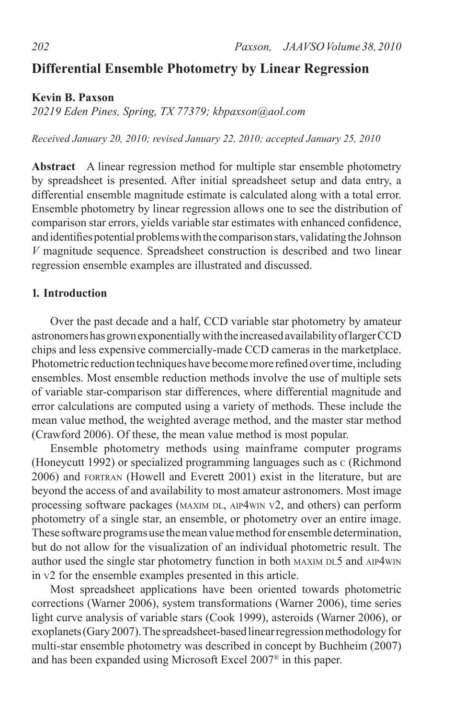# **Differential Ensemble Photometry by Linear Regression**

**Kevin B. Paxson**

*20219 Eden Pines, Spring, TX 77379; kbpaxson@aol.com*

*Received January 20, 2010; revised January 22, 2010; accepted January 25, 2010*

**Abstract** A linear regression method for multiple star ensemble photometry by spreadsheet is presented. After initial spreadsheet setup and data entry, a differential ensemble magnitude estimate is calculated along with a total error. Ensemble photometry by linear regression allows one to see the distribution of comparison star errors, yields variable star estimates with enhanced confidence, and identifies potential problems with the comparison stars, validating the Johnson *V* magnitude sequence. Spreadsheet construction is described and two linear regression ensemble examples are illustrated and discussed.

#### **1. Introduction**

Over the past decade and a half, CCD variable star photometry by amateur astronomershasgrownexponentiallywiththe increasedavailabilityoflargerCCD chips and less expensive commercially-made CCD cameras in the marketplace. Photometric reduction techniques have become more refined over time, including ensembles. Most ensemble reduction methods involve the use of multiple sets of variable star-comparison star differences, where differential magnitude and error calculations are computed using a variety of methods. These include the mean value method, the weighted average method, and the master star method (Crawford 2006). Of these, the mean value method is most popular.

Ensemble photometry methods using mainframe computer programs (Honeycutt 1992) or specialized programming languages such as <sup>c</sup> (Richmond 2006) and fortran (Howell and Everett 2001) exist in the literature, but are beyond the access of and availability to most amateur astronomers. Most image processing software packages (MAXIM DL, AIP4WIN v2, and others) can perform photometry of a single star, an ensemble, or photometry over an entire image. These software programs use themean valuemethod for ensemble determination, but do not allow for the visualization of an individual photometric result. The author used the single star photometry function in both MAXIM DL5 and AIP4WIN in v2 for the ensemble examples presented in this article.

Most spreadsheet applications have been oriented towards photometric corrections (Warner 2006), system transformations (Warner 2006), time series light curve analysis of variable stars (Cook 1999), asteroids (Warner 2006), or exoplanets (Gary 2007). The spreadsheet-based linear regression methodology for multi-star ensemble photometry was described in concept by Buchheim (2007) and has been expanded using Microsoft Excel 2007® in this paper.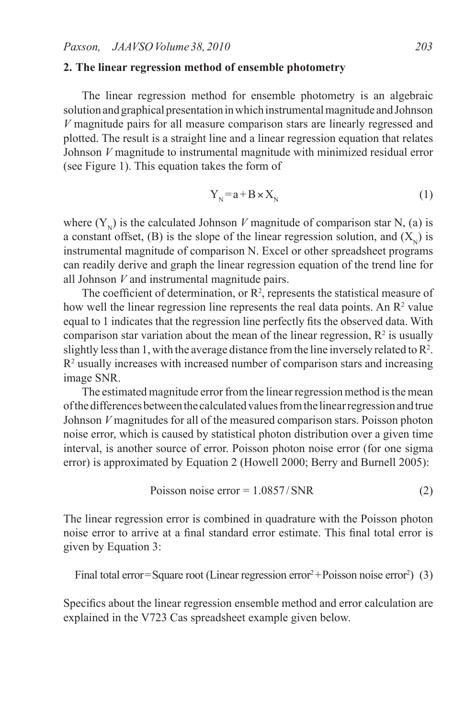#### **2. The linear regression method of ensemble photometry**

The linear regression method for ensemble photometry is an algebraic solution and graphical presentation in which instrumental magnitude and Johnson *V* magnitude pairs for all measure comparison stars are linearly regressed and plotted. The result is a straight line and a linear regression equation that relates Johnson *V* magnitude to instrumental magnitude with minimized residual error (see Figure 1). This equation takes the form of

$$
Y_{N} = a + B \times X_{N}
$$
 (1)

where  $(Y_{N})$  is the calculated Johnson *V* magnitude of comparison star N, (a) is a constant offset, (B) is the slope of the linear regression solution, and  $(X_{N})$  is instrumental magnitude of comparison N. Excel or other spreadsheet programs can readily derive and graph the linear regression equation of the trend line for all Johnson *V* and instrumental magnitude pairs.

The coefficient of determination, or  $\mathbb{R}^2$ , represents the statistical measure of how well the linear regression line represents the real data points. An  $\mathbb{R}^2$  value equal to 1 indicates that the regression line perfectly fits the observed data. With comparison star variation about the mean of the linear regression,  $\mathbb{R}^2$  is usually slightly less than 1, with the average distance from the line inversely related to  $\mathbb{R}^2$ .  $R<sup>2</sup>$  usually increases with increased number of comparison stars and increasing image SNR.

The estimated magnitude error from the linear regression method is the mean of the differences between the calculated values from the linear regression and true Johnson *V* magnitudes for all of the measured comparison stars. Poisson photon noise error, which is caused by statistical photon distribution over a given time interval, is another source of error. Poisson photon noise error (for one sigma error) is approximated by Equation 2 (Howell 2000; Berry and Burnell 2005):

$$
Poisson noise error = 1.0857 / SNR
$$
 (2)

The linear regression error is combined in quadrature with the Poisson photon noise error to arrive at a final standard error estimate. This final total error is given by Equation 3:

Final total error=Square root (Linear regression error<sup>2</sup>+Poisson noise error<sup>2</sup>) (3)

Specifics about the linear regression ensemble method and error calculation are explained in the V723 Cas spreadsheet example given below.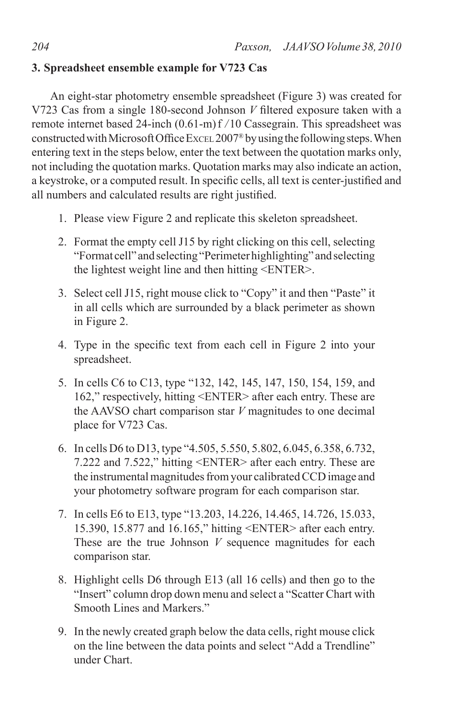# **3. Spreadsheet ensemble example for V723 Cas**

An eight-star photometry ensemble spreadsheet (Figure 3) was created for V723 Cas from a single 180-second Johnson *V* filtered exposure taken with a remote internet based 24-inch (0.61-m)f */*10 Cassegrain. This spreadsheet was constructed with Microsoft Office Excel 2007<sup>®</sup> by using the following steps. When entering text in the steps below, enter the text between the quotation marks only, not including the quotation marks. Quotation marks may also indicate an action, a keystroke, or a computed result. In specific cells, all text is center-justified and all numbers and calculated results are right justified.

- 1. Please view Figure 2 and replicate this skeleton spreadsheet.
- 2. Format the empty cell J15 by right clicking on this cell, selecting "Format cell" andselecting"Perimeterhighlighting" andselecting the lightest weight line and then hitting <ENTER>.
- 3. Select cell J15, right mouse click to "Copy" it and then "Paste" it in all cells which are surrounded by a black perimeter as shown in Figure 2.
- 4. Type in the specific text from each cell in Figure 2 into your spreadsheet.
- 5. In cells C6 to C13, type "132, 142, 145, 147, 150, 154, 159, and 162," respectively, hitting <ENTER> after each entry. These are the AAVSO chart comparison star *V* magnitudes to one decimal place for V723 Cas.
- 6. In cells D6 to D13, type "4.505, 5.550, 5.802, 6.045, 6.358, 6.732, 7.222 and 7.522," hitting <ENTER> after each entry. These are the instrumental magnitudes from your calibrated CCD image and your photometry software program for each comparison star.
- 7. In cells E6 to E13, type "13.203, 14.226, 14.465, 14.726, 15.033, 15.390, 15.877 and 16.165," hitting <ENTER> after each entry. These are the true Johnson *V* sequence magnitudes for each comparison star.
- 8. Highlight cells D6 through E13 (all 16 cells) and then go to the "Insert" column drop down menu and select a "Scatter Chart with Smooth Lines and Markers."
- 9. In the newly created graph below the data cells, right mouse click on the line between the data points and select "Add a Trendline" under Chart.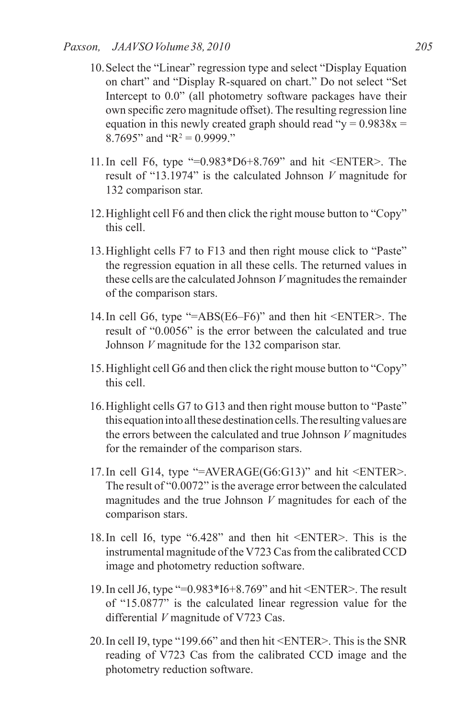- 10.Select the "Linear" regression type and select "Display Equation on chart" and "Display R-squared on chart." Do not select "Set Intercept to 0.0" (all photometry software packages have their own specific zero magnitude offset). The resulting regression line equation in this newly created graph should read " $y = 0.9838x$  = 8.7695" and " $R^2 = 0.9999$ ."
- 11.In cell F6, type "=0.983\*D6+8.769" and hit <ENTER>. The result of "13.1974" is the calculated Johnson *V* magnitude for 132 comparison star.
- 12.Highlight cell F6 and then click the right mouse button to "Copy" this cell.
- 13.Highlight cells F7 to F13 and then right mouse click to "Paste" the regression equation in all these cells. The returned values in these cells are the calculated Johnson *V* magnitudes the remainder of the comparison stars.
- 14.In cell G6, type "=ABS(E6–F6)" and then hit <ENTER>. The result of "0.0056" is the error between the calculated and true Johnson *V* magnitude for the 132 comparison star.
- 15.Highlight cell G6 and then click the right mouse button to "Copy" this cell.
- 16.Highlight cells G7 to G13 and then right mouse button to "Paste" this equation into all these destination cells. The resulting values are the errors between the calculated and true Johnson *V* magnitudes for the remainder of the comparison stars.
- 17.In cell G14, type "=AVERAGE(G6:G13)" and hit <ENTER>. The result of "0.0072" is the average error between the calculated magnitudes and the true Johnson *V* magnitudes for each of the comparison stars.
- 18.In cell I6, type "6.428" and then hit <ENTER>. This is the instrumental magnitude of the V723 Cas from the calibrated CCD image and photometry reduction software.
- 19.In cell J6, type "=0.983\*I6+8.769" and hit <ENTER>. The result of "15.0877" is the calculated linear regression value for the differential *V* magnitude of V723 Cas.
- 20.In cell I9, type "199.66" and then hit <ENTER>. This is the SNR reading of V723 Cas from the calibrated CCD image and the photometry reduction software.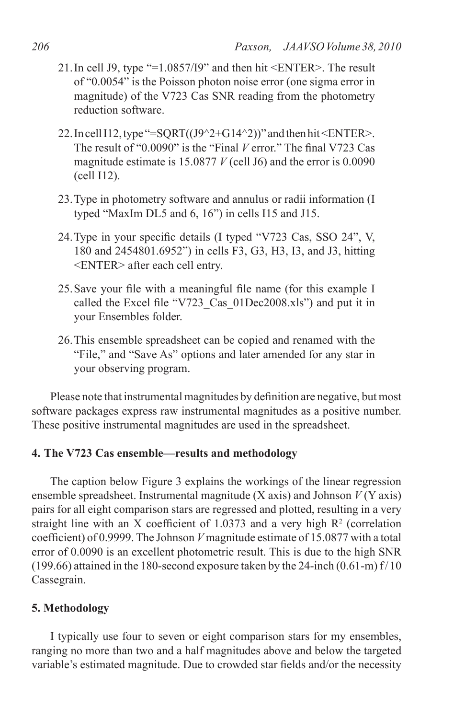- 21.In cell J9, type "=1.0857/I9" and then hit <ENTER>. The result of "0.0054" is the Poisson photon noise error (one sigma error in magnitude) of the V723 Cas SNR reading from the photometry reduction software.
- 22. In cell I12, type "=SQRT( $(J9^{\wedge}2+G14^{\wedge}2)$ )" and then hit <ENTER>. The result of "0.0090" is the "Final *V* error." The final V723 Cas magnitude estimate is 15.0877 *V* (cell J6) and the error is 0.0090 (cell I12).
- 23.Type in photometry software and annulus or radii information (I typed "MaxIm DL5 and 6, 16") in cells I15 and J15.
- 24.Type in your specific details (I typed "V723 Cas, SSO 24", V, 180 and 2454801.6952") in cells F3, G3, H3, I3, and J3, hitting <ENTER> after each cell entry.
- 25.Save your file with a meaningful file name (for this example I called the Excel file "V723\_Cas\_01Dec2008.xls") and put it in your Ensembles folder.
- 26.This ensemble spreadsheet can be copied and renamed with the "File," and "Save As" options and later amended for any star in your observing program.

Please note that instrumental magnitudes by definition are negative, but most software packages express raw instrumental magnitudes as a positive number. These positive instrumental magnitudes are used in the spreadsheet.

# **4. The V723 Cas ensemble—results and methodology**

The caption below Figure 3 explains the workings of the linear regression ensemble spreadsheet. Instrumental magnitude (X axis) and Johnson *V* (Y axis) pairs for all eight comparison stars are regressed and plotted, resulting in a very straight line with an X coefficient of 1.0373 and a very high  $R<sup>2</sup>$  (correlation coefficient) of 0.9999. The Johnson *V* magnitude estimate of 15.0877 with a total error of 0.0090 is an excellent photometric result. This is due to the high SNR (199.66) attained in the 180-second exposure taken by the 24-inch (0.61-m) f/ 10 Cassegrain.

## **5. Methodology**

I typically use four to seven or eight comparison stars for my ensembles, ranging no more than two and a half magnitudes above and below the targeted variable's estimated magnitude. Due to crowded star fields and/or the necessity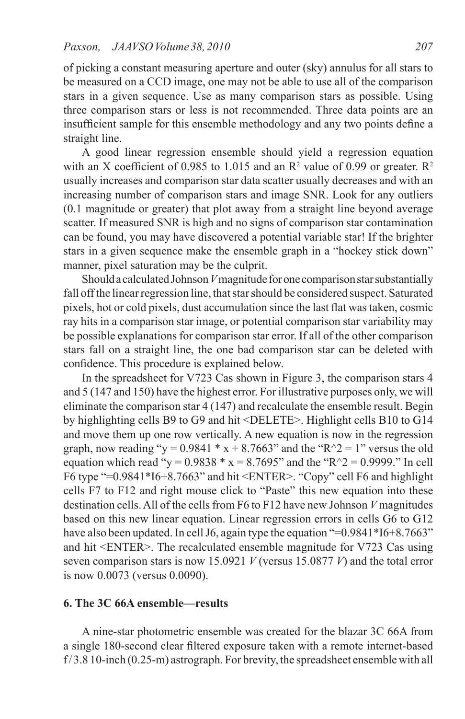of picking a constant measuring aperture and outer (sky) annulus for all stars to be measured on a CCD image, one may not be able to use all of the comparison stars in a given sequence. Use as many comparison stars as possible. Using three comparison stars or less is not recommended. Three data points are an insufficient sample for this ensemble methodology and any two points define a straight line.

A good linear regression ensemble should yield a regression equation with an X coefficient of 0.985 to 1.015 and an  $\mathbb{R}^2$  value of 0.99 or greater.  $\mathbb{R}^2$ usually increases and comparison star data scatter usually decreases and with an increasing number of comparison stars and image SNR. Look for any outliers (0.1 magnitude or greater) that plot away from a straight line beyond average scatter. If measured SNR is high and no signs of comparison star contamination can be found, you may have discovered a potential variable star! If the brighter stars in a given sequence make the ensemble graph in a "hockey stick down" manner, pixel saturation may be the culprit.

Should a calculated Johnson *V* magnitude for one comparison star substantially fall off the linear regression line, that star should be considered suspect. Saturated pixels, hot or cold pixels, dust accumulation since the last flat was taken, cosmic ray hits in a comparison star image, or potential comparison star variability may be possible explanations for comparison star error. If all of the other comparison stars fall on a straight line, the one bad comparison star can be deleted with confidence. This procedure is explained below.

In the spreadsheet for V723 Cas shown in Figure 3, the comparison stars 4 and 5 (147 and 150) have the highest error. For illustrative purposes only, we will eliminate the comparison star 4 (147) and recalculate the ensemble result. Begin by highlighting cells B9 to G9 and hit <DELETE>. Highlight cells B10 to G14 and move them up one row vertically. A new equation is now in the regression graph, now reading "y =  $0.9841 * x + 8.7663$ " and the "R^2 = 1" versus the old equation which read "y =  $0.9838 * x = 8.7695$ " and the "R^2 = 0.9999." In cell F6 type "=0.9841\*I6+8.7663" and hit <ENTER>. "Copy" cell F6 and highlight cells F7 to F12 and right mouse click to "Paste" this new equation into these destination cells. All of the cells from F6 to F12 have new Johnson *V* magnitudes based on this new linear equation. Linear regression errors in cells G6 to G12 have also been updated. In cell J6, again type the equation "=0.9841\*I6+8.7663" and hit <ENTER>. The recalculated ensemble magnitude for V723 Cas using seven comparison stars is now 15.0921 *V* (versus 15.0877 *V*) and the total error is now 0.0073 (versus 0.0090).

## **6. The 3C 66A ensemble—results**

A nine-star photometric ensemble was created for the blazar 3C 66A from a single 180-second clear filtered exposure taken with a remote internet-based f/3.8 10-inch (0.25-m) astrograph. For brevity, the spreadsheet ensemble with all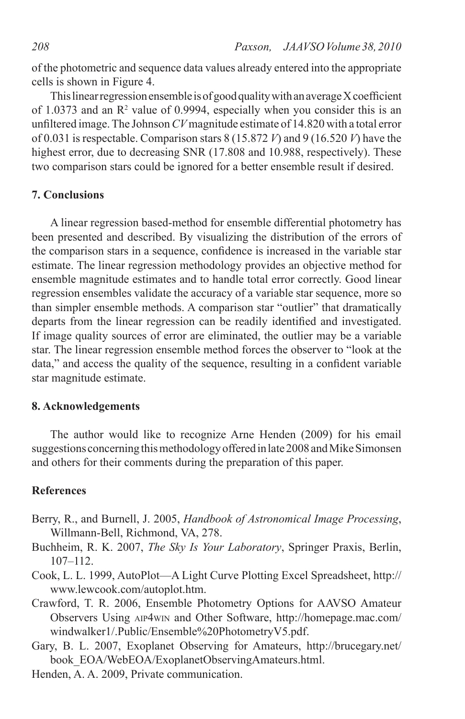of the photometric and sequence data values already entered into the appropriate cells is shown in Figure 4.

This linear regression ensemble is of good quality with an average X coefficient of 1.0373 and an  $\mathbb{R}^2$  value of 0.9994, especially when you consider this is an unfiltered image. The Johnson *CV*magnitude estimate of 14.820 with a total error of 0.031 isrespectable. Comparison stars 8 (15.872 *V*) and 9 (16.520 *V*) have the highest error, due to decreasing SNR (17.808 and 10.988, respectively). These two comparison stars could be ignored for a better ensemble result if desired.

#### **7. Conclusions**

A linear regression based-method for ensemble differential photometry has been presented and described. By visualizing the distribution of the errors of the comparison stars in a sequence, confidence is increased in the variable star estimate. The linear regression methodology provides an objective method for ensemble magnitude estimates and to handle total error correctly. Good linear regression ensembles validate the accuracy of a variable star sequence, more so than simpler ensemble methods. A comparison star "outlier" that dramatically departs from the linear regression can be readily identified and investigated. If image quality sources of error are eliminated, the outlier may be a variable star. The linear regression ensemble method forces the observer to "look at the data," and access the quality of the sequence, resulting in a confident variable star magnitude estimate.

## **8. Acknowledgements**

The author would like to recognize Arne Henden (2009) for his email suggestions concerning this methodology offered in late 2008 and Mike Simonsen and others for their comments during the preparation of this paper.

## **References**

- Berry, R., and Burnell, J. 2005, *Handbook of Astronomical Image Processing*, Willmann-Bell, Richmond, VA, 278.
- Buchheim, R. K. 2007, *The Sky Is Your Laboratory*, Springer Praxis, Berlin, 107–112.
- Cook, L. L. 1999, AutoPlot—A Light Curve Plotting Excel Spreadsheet, http:// www.lewcook.com/autoplot.htm.
- Crawford, T. R. 2006, Ensemble Photometry Options for AAVSO Amateur Observers Using aip4win and Other Software, http://homepage.mac.com/ windwalker1/.Public/Ensemble%20PhotometryV5.pdf.
- Gary, B. L. 2007, Exoplanet Observing for Amateurs, http://brucegary.net/ book\_EOA/WebEOA/ExoplanetObservingAmateurs.html.
- Henden, A. A. 2009, Private communication.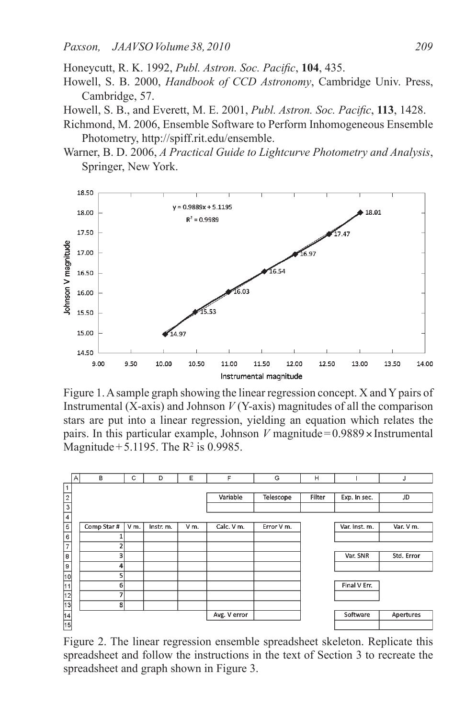Honeycutt, R. K. 1992, *Publ. Astron. Soc. Pacific*, **104**, 435.

- Howell, S. B. 2000, *Handbook of CCD Astronomy*, Cambridge Univ. Press, Cambridge, 57.
- Howell, S. B., and Everett, M. E. 2001, *Publ. Astron. Soc. Pacific*, **113**, 1428.
- Richmond, M. 2006, Ensemble Software to Perform Inhomogeneous Ensemble Photometry, http://spiff.rit.edu/ensemble.
- Warner, B. D. 2006, *A Practical Guide to Lightcurve Photometry and Analysis*, Springer, New York.



Figure 1. A sample graph showing the linear regression concept. X and Y pairs of Instrumental (X-axis) and Johnson *V* (Y-axis) magnitudes of all the comparison stars are put into a linear regression, yielding an equation which relates the pairs. In this particular example, Johnson *V* magnitude= $0.9889 \times$ Instrumental Magnitude + 5.1195. The  $R^2$  is 0.9985.



Figure 2. The linear regression ensemble spreadsheet skeleton. Replicate this spreadsheet and follow the instructions in the text of Section 3 to recreate the spreadsheet and graph shown in Figure 3.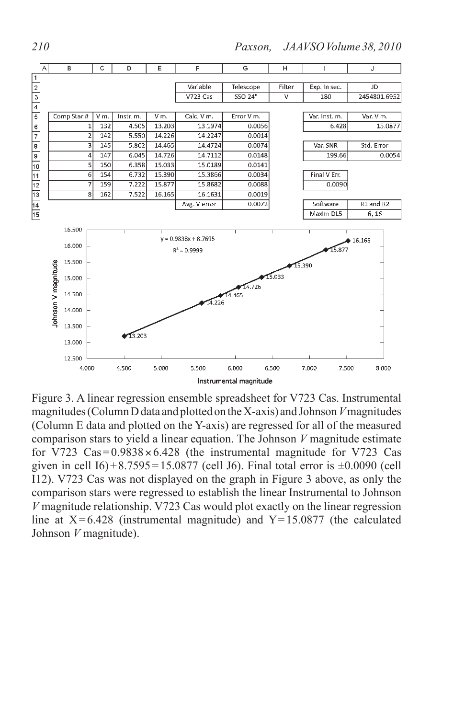

Figure 3. A linear regression ensemble spreadsheet for V723 Cas. Instrumental magnitudes (Column D data and plotted on the X-axis) and Johnson*V*magnitudes (Column E data and plotted on the Y-axis) are regressed for all of the measured comparison stars to yield a linear equation. The Johnson *V* magnitude estimate for V723  $Cas = 0.9838 \times 6.428$  (the instrumental magnitude for V723 Cas given in cell  $I6$ ) + 8.7595 = 15.0877 (cell J6). Final total error is  $\pm 0.0090$  (cell I12). V723 Cas was not displayed on the graph in Figure 3 above, as only the comparison stars were regressed to establish the linear Instrumental to Johnson *V* magnitude relationship. V723 Cas would plot exactly on the linear regression line at  $X=6.428$  (instrumental magnitude) and  $Y=15.0877$  (the calculated Johnson *V* magnitude).